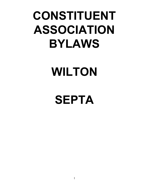# **CONSTITUENT ASSOCIATION BYLAWS**

# **WILTON**

**SEPTA**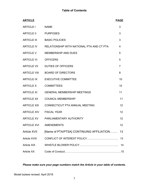| <b>ARTICLE</b>       |                                           | <b>PAGE</b>     |
|----------------------|-------------------------------------------|-----------------|
| <b>ARTICLE I</b>     | <b>NAME</b>                               | 3               |
| <b>ARTICLE II</b>    | <b>PURPOSES</b>                           | 3               |
| <b>ARTICLE III</b>   | <b>BASIC POLICIES</b>                     | 3               |
| ARTICLE IV           | RELATIONSHIP WITH NATIONAL PTA AND CT PTA | 4               |
| <b>ARTICLE V</b>     | <b>MEMBERSHIP AND DUES</b>                | 5               |
| <b>ARTICLE VI</b>    | <b>OFFICERS</b>                           | 5               |
|                      | ARTICLE VII DUTIES OF OFFICERS            | $\overline{7}$  |
| <b>ARTICLE VIII</b>  | <b>BOARD OF DIRECTORS</b>                 | 8               |
| <b>ARTICLE IX</b>    | <b>EXECUTIVE COMMITTEE</b>                | 10              |
| <b>ARTICLE X</b>     | <b>COMMITTEES</b>                         | 10              |
| <b>ARTICLE XI</b>    | <b>GENERAL MEMBERSHIP MEETINGS</b>        | 11              |
| <b>ARTICLE XII</b>   | <b>COUNCIL MEMBERSHIP</b>                 | 11              |
| <b>ARTICLE XIII</b>  | CONNECTICUT PTA ANNUAL MEETING            | 12              |
| <b>ARTICLE XIV</b>   | <b>FISCAL YEAR</b>                        | 12              |
|                      | ARTICLE XV PARLIAMENTARY AUTHORITY        | 12              |
| <b>ARTICLE XVI</b>   | <b>AMENDMENTS</b>                         | 12 <sup>2</sup> |
| <b>Article XVII</b>  | [Name of PTA/PTSA] CONTINUING AFFILIATION | 13              |
| <b>Article XVIII</b> |                                           | 13              |
| <b>Article XIX</b>   |                                           | 14              |
| <b>Article XX</b>    |                                           |                 |

# *Please make sure your page numbers match the Article in your table of contents.*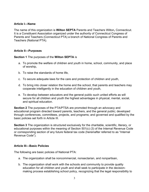#### **Article I—Name**

The name of this organization is **Wilton SEPTA** Parents and Teachers Wilton**,** Connecticut. It is a Constituent Association organized under the authority of Connecticut Congress of Parents and Teachers (Connecticut PTA) a branch of National Congress of Parents and Teachers (National PTA).

#### **Article II—Purposes**

**Section 1** The purposes of the **Wilton SEPTA** is

- a. To promote the welfare of children and youth in home, school, community, and place of worship,
- b. To raise the standards of home life,
- c. To secure adequate laws for the care and protection of children and youth,
- d. To bring into closer relation the home and the school, that parents and teachers may cooperate intelligently in the education of children and youth,
- e. To develop between educators and the general public such united efforts as will secure for all children and youth the highest advantages in physical, mental, social, and spiritual education.

**Section 2** The purposes of the PTA/PTSA are promoted through an advocacy and educational program directed toward parents, teachers, and the general public; developed through conferences, committees, projects, and programs; and governed and qualified by the basic policies set forth in Article III.

**Section 3** The organization is structured exclusively for the charitable, scientific, literary, or educational purposes within the meaning of Section 501(c) (3) of the Internal Revenue Code or corresponding section of any future federal tax code (hereinafter referred to as "Internal Revenue Code").

#### **Article III—Basic Policies**

The following are basic policies of National PTA:

- a. The organization shall be noncommercial, nonsectarian, and nonpartisan,
- b. The organization shall work with the schools and community to provide quality education for all children and youth and shall seek to participate in the decisionmaking process establishing school policy, recognizing that the legal responsibility to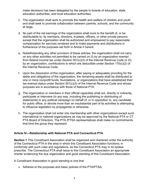make decisions has been delegated by the people to boards of education, state education authorities, and local education authorities,

- c. The organization shall work to promote the health and welfare of children and youth and shall seek to promote collaboration between parents, schools, and the community at large,
- d. No part of the net earnings of the organization shall inure to the benefit of, or be distributable to, its members, directors, trustees, officers, or other private persons except that the organization shall be authorized and empowered to pay reasonable compensation for services rendered and to make payments and distributions in furtherance of the purposes set forth in Article II hereof,
- e. Notwithstanding any other provision of these articles, the organization shall not carry on any other activities not permitted to be carried on (I) by an organization exempt from federal income tax under Section 501(c)(3) of the Internal Revenue Code or (II) by an organization, contributions to which are deductible under Section 170(c)(2) of the Internal Revenue Code,
- f. Upon the dissolution of this organization, after paying or adequately providing for the debts and obligations of the organization, the remaining assets shall be distributed to one or more nonprofit funds, foundations, or organizations that have established their tax-exempt status under Section 501(c)(3) of the Internal Revenue Code and whose purposes are in accordance with those of National PTA,
- g. The organization or members in their official capacities shall not, directly or indirectly, participate or intervene (in any way, including the publishing or distributing of statements) in any political campaign on behalf of, or in opposition to, any candidate for public office; or devote more than an insubstantial part of its activities to attempting to influence legislation by propaganda or otherwise.
- h. The organization shall not enter into membership with other organizations except such international or national organizations as may be approved by the National PTA or CT PTA Board of Directors. The PTA /PTSA representatives shall make no commitments that bind the group they represent.

### **Article IV—Relationship with National PTA and Connecticut PTA**

**Section 1** This Constituent Association shall be organized and chartered under the authority of the Connecticut PTA in the area in which this Constituent Association functions; in conformity with such rules and regulations, as the Connecticut PTA may in its bylaws prescribe. The Connecticut PTA shall issue to this Constituent Association an appropriate charter evidencing the due organization and good standing of this Constituent Association.

A Constituent Association in good standing is one that

a. Adheres to the purposes and basic policies of the PTA/PTSA;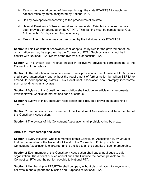- b. Remits the national portion of the dues through the state PTA/PTSA to reach the national office by dates designated by National PTA;
- c. Has bylaws approved according to the procedures of its state;
- d. Have all Presidents & Treasurers attend a Leadership Orientation course that has been provided or approved by the CT PTA. This training must be completed by Oct. 15th or within 60 days after filling a vacancy.
- e. Meets other criteria as may be prescribed by the individual state PTA/PTSA.

**Section 2** This Constituent Association shall adopt such bylaws for the government of the organization as may be approved by the Connecticut PTA. Such bylaws shall not be in conflict with National PTA Bylaws or the bylaws of Connecticut PTA.

**Section 3** This Wilton SEPTA shall include in its bylaws provisions corresponding to the Connecticut PTA Bylaws.

**Section 4** The adoption of an amendment to any provision of the Connecticut PTA bylaws shall serve automatically and without the requirement of further action by Wilton SEPTA to amend its corresponding bylaws. This Constituent Association shall promptly incorporate such amendments in its bylaws.

**Section 5** Bylaws of this Constituent Association shall include an article on amendments, Whistleblower, Conflict of Interest and code of conduct.

**Section 6** Bylaws of this Constituent Association shall include a provision establishing a quorum.

**Section 7** Each officer or Board member of this Constituent Association shall be a member of this Constituent Association.

**Section 8** The bylaws of this Constituent Association shall prohibit voting by proxy.

#### **Article V—Membership and Dues**

**Section 1** Every individual who is a member of this Constituent Association is, by virtue of that fact, a member of the National PTA and of the Connecticut PTA by which this Constituent Association is chartered, and is entitled to all the benefits of such membership.

**Section 2** Each member of this Constituent Association shall pay annual dues to said organization. The amount of such annual dues shall include the portion payable to the Connecticut PTA and the portion payable to National PTA.

**Section 3** Membership in PTA/PTSA shall be open, without discrimination, to anyone who believes in and supports the Mission and Purposes of National PTA.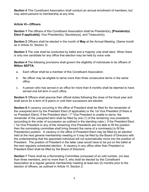**Section 4** This Constituent Association shall conduct an annual enrollment of members, but may admit persons to membership at any time.

### **Article VI—Officers**

**Section 1** The officers of this Constituent Association shall be President(s)**, [President(s) Elect if applicable]**, Vice President(s), Secretary(s), and Treasurer(s)*.*

**Section 2** Officers shall be elected in the month of **May** at the Annual Meeting. (Same month as in Article XI, Section 3)

**Section 3** The vote shall be conducted by ballot and a majority vote shall elect. When there is only one candidate for any office that election may be held by voice vote.

**Section 4** The following provisions shall govern the eligibility of individuals to be officers of **Wilton SEPTA:**

- a. Each officer shall be a member of this Constituent Association.
- b. No officer may be eligible to serve more than three consecutive terms in the same office.
- c. A person who has served in an office for more than 6 months shall be deemed to have served one full term in such office.

**Section 5** Officers shall assume their official duties following the close of the fiscal year and shall serve for a term of **3** year/s or until their successors are elected.

**Section 6** A vacancy occurring in the office of President shall be filled for the remainder of the unexpired term by the President Elect (if applicable) or the 1st Vice President (if there is no President Elect). If the President elect / 1<sup>st</sup> Vice President is unable to serve, the remainder of the unexpired term shall be filled by one (1) of the remaining vice presidents (according to the order of succession as outlined in the standing rules.) If the President Elect / 1st Vice President or any of the remaining Vice Presidents are not able to fill the position then the nominating committee shall bring forward the name of a nominee(s) to fill the President(s) position.A vacancy in the office of President Elect may be filled by an election held at the next general membership meeting or it may be filed by the Board of Directors with the understanding that the appointed individual will not automatically move into the position of President. The position of President in the latter case would have to be put on the ballot at the next regularly scheduled election. A vacancy in any office other than President or President Elect shall be filled by the Board of Directors.

**Section 7** There shall be a Nominating Committee composed of an odd number, (no less than three members, and no more than 5, who shall be elected by this Constituent Association at a regular general membership meeting at least two (2) months prior to the election of officers, as outlined in Article VI, Section 2.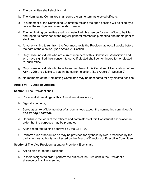- a. The committee shall elect its chair,
- b. The Nominating Committee shall serve the same term as elected officers.
- c. If a member of the Nominating Committee resigns the open position will be filled by a vote at the next general membership meeting.
- d. The nominating committee shall nominate 1 eligible person for each office to be filled and report its nominees at the regular general membership meeting one month prior to elections,
- e. Anyone wishing to run from the floor must notify the President at least **2** weeks before the date of the election, (See Article VI, Section 2)
- f. Only those individuals who are current members of this Constituent Association and who have signified their consent to serve if elected shall be nominated for, or elected to, such office,
- g. Only those individuals who have been members of this Constituent Association before **April, 30th** are eligible to vote in the current election. (See Article VI, Section 2)
- h. No members of the Nominating Committee may be nominated for any elected position.

### **Article VII—Duties of Officers**

**Section 1** The President shall:

- a. Preside at all meetings of this Constituent Association,
- b. Sign all contracts,
- c. Serve as an ex officio member of all committees except the nominating committee *(a non-voting position),*
- d. Coordinate the work of the officers and committees of this Constituent Association in order that the purposes may be promoted,
- e. Attend required training approved by the CT PTA,
- f. Perform such other duties as may be provided for by these bylaws, prescribed by the parliamentary authority, or directed by the Board of Directors or Executive Committee.

**Section 2** The Vice President(s) and/or President Elect shall:

- a. Act as aide (s) to the President,
- b. In their designated order, perform the duties of the President in the President's absence or inability to serve,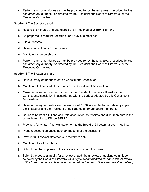c. Perform such other duties as may be provided for by these bylaws, prescribed by the parliamentary authority, or directed by the President, the Board of Directors, or the Executive Committee.

**Section 3** The Secretary shall:

- a. Record the minutes and attendance of all meetings of **Wilton SEPTA** ,
- b. Be prepared to read the records of any previous meetings,
- c. File all records,
- d. Have a current copy of the bylaws,
- e. Maintain a membership list,
- f. Perform such other duties as may be provided for by these bylaws, prescribed by the parliamentary authority, or directed by the President, the Board of Directors, or the Executive Committee.

**Section 4** The Treasurer shall:

- a. Have custody of the funds of this Constituent Association,
- b. Maintain a full account of the funds of this Constituent Association,
- c. Make disbursements as authorized by the President, Executive Board, or this Constituent Association in accordance with the budget adopted by this Constituent Association,
- d. Have monetary requests over the amount of **\$1.00** signed by two unrelated people: the Treasurer and the President or designated alternate board members.
- e. Cause to be kept a full and accurate account of the receipts and disbursements in the books belonging to **Wilton SEPTA,**
- f. Provide a full written financial statement to the Board of Directors at each meeting,
- g. Present account balances at every meeting of the association,
- h. Provide full financial statements to members only,
- i. Maintain a list of members,
- j. Submit membership fees to the state office on a monthly basis,
- k. Submit the books annually for a review or audit by a review or auditing committee selected by the Board of Directors. (*It is highly recommended that an informal review of the books be done at least one month before the new officers assume their duties.)*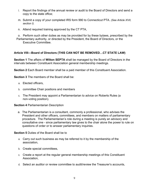- l. Report the findings of the annual review or audit to the Board of Directors and send a copy to the state office;
- m. Submit a copy of your completed IRS form 990 to Connecticut PTA. *(See Article XVII, section I).*
- n. Attend required training approved by the CT PTA,

 o. Perform such other duties as may be provided for by these bylaws, prescribed by the Parliamentary authority, or directed by the President, the Board of Directors, or the Executive Committee.

## **Article VIII—Board of Directors (THIS CAN NOT BE REMOVED…CT STATE LAW)**

**Section 1** The affairs of **Wilton SEPTA** shall be managed by the Board of Directors in the intervals between Constituent Association general membership meetings.

**Section 2** Each Board member shall be a paid member of this Constituent Association.

**Section 3** The members of the Board shall be:

- a. Elected officers,
- b. committee Chair positions and members
- c. The President may appoint a Parliamentarian to advice on Roberts Rules (a non-voting position).

**Section 4** Parliamentarian Description

a. The Parliamentarian is a consultant, commonly a professional, who advises the President and other officers, committees, and members on matters of parliamentary procedure. The Parliamentarian's role during a meeting is purely an advisory and consultative one - since parliamentary law gives to the chair alone the power to rule on questions of order or to answer parliamentary inquiries.

**Section 5** Duties of the Board shall be to

- a. Carry out such business as may be referred to it by the membership of the association,
- b. Create special committees,
- c. Create a report at the regular general membership meetings of this Constituent Association,
- d. Select an auditor or review committee to audit/review the Treasurer's accounts,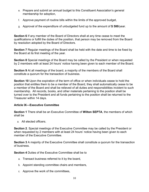- e. Prepare and submit an annual budget to this Constituent Association's general membership for adoption,
- f. Approve payment of routine bills within the limits of the approved budget,
- g. Approval of the expenditure of unbudgeted fund up to the amount of **\$ 500**/year.

**Section 6** If any member of the Board of Directors shall at any time cease to meet the qualifications or fulfill the duties of the position, that person may be removed from the Board by resolution adopted by the Board of Directors.

**Section 7** Regular meetings of the Board shall be held with the date and time to be fixed by the Board at its first meeting of the year.

**Section 8** Special meetings of the Board may be called by the President or when requested by 2 members with at least 24 hours' notice having been given to each member of the Board.

**Section 9** At all meetings of the board, a majority of the members of the Board shall constitute a quorum for the transaction of business.

**Section 10** Upon the expiration of the term of office or when individuals cease to hold the position that entitles them to be a member of the Board, they shall automatically cease to be a member of the Board and shall be relieved of all duties and responsibilities incident to such membership. All records, books, and other materials pertaining to the position shall be turned over to the President and all funds pertaining to the position shall be returned to the Treasurer within 14 days.

### **Article IX—Executive Committee**

**Section 1** There shall be an Executive Committee of **Wilton SEPTA**, the members of which shall be

a. All elected officers.

**Section 2**. Special meetings of the Executive Committee may be called by the President or when requested by 2 members with at least 24 hours' notice having been given to each member of the Executive Committee.

**Section 3** A majority of the Executive Committee shall constitute a quorum for the transaction of business.

**Section 4** Duties of the Executive Committee shall be to

- a. Transact business referred to it by the board,
- b. Appoint standing committee chairs and members,
- c. Approve the work of the committees,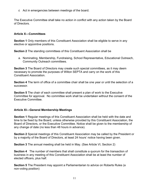d. Act in emergencies between meetings of the board.

The Executive Committee shall take no action in conflict with any action taken by the Board of Directors.

## **Article X—Committees**

**Section 1** Only members of this Constituent Association shall be eligible to serve in any elective or appointive positions.

**Section 2** The standing committees of this Constituent Association shall be

a. Nominating, Membership, Fundraising, School Representative, Educational Outreach, Community Outreach committees.

**Section 3** The Board of Directors may create such special committees, as it may deem necessary to promote the purposes of Wilton SEPTA and carry on the work of this Constituent Association.

**Section 4** The term of office of a committee chair shall be one year or until the selection of a successor.

**Section 5** The chair of each committee shall present a plan of work to the Executive Committee for approval. No committee work shall be undertaken without the consent of the Executive Committee.

## **Article XI—General Membership Meetings**

**Section 1** Regular meetings of this Constituent Association shall be held with the date and time to be fixed by the Board, unless otherwise provided by this Constituent Association, the Board of Directors, or the Executive Committee. Notice shall be given to the membership of any change of date (no less than 48 hours in advance).

**Section 2** Special meetings of this Constituent Association may be called by the President or by a majority of the Board of Directors, at least 24 hours' notice having been given.

**Section 3** The annual meeting shall be held in May. (See Article VI, Section 2)

**Section 4** The number of members that shall constitute a quorum for the transaction of business in any meeting of this Constituent Association shall be at least the number of elected officers, plus half.

**Section 5** The President may appoint a Parliamentarian to advice on Roberts Rules (a non-voting position)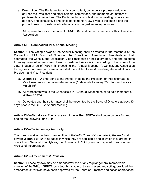a. Description: The Parliamentarian is a consultant, commonly a professional, who advises the President and other officers, committees, and members on matters of parliamentary procedure. The Parliamentarian's role during a meeting is purely an advisory and consultative one-since parliamentary law gives to the chair alone the power to rule on questions of order or to answer parliamentary inquiries.

All representatives to the council PTA/PTSA must be paid members of this Constituent Association;

## **Article XIII—Connecticut PTA Annual Meeting**

**Section 1** The voting power of the Annual Meeting shall be vested in the members of the Connecticut PTA Board of Directors, the Constituent Association Presidents or their alternates, the Constituent Association Vice-Presidents or their alternates, and one delegate for every twenty-five members of each Constituent Association according to the books of the state Treasurer as of March 15 preceding the Annual Meeting. A Constituent Association having less than twenty-five members shall be entitled to send one delegate in addition to its President and Vice-President.

- a. **Wilton SEPTA** shall send to the Annual Meeting the President or their alternate, a Vice President or their alternate and one (1) delegate for every 25 PTA members as of March 15<sup>th</sup>.
- **b.** All representatives to the Connecticut PTA Annual Meeting must be paid members of **Wilton SEPTA.**

c. Delegates and their alternates shall be appointed by the Board of Directors at least 30 days prior to the CT PTA Annual Meeting.

**Article XIV—Fiscal Year** The fiscal year of the **Wilton SEPTA** shall begin on July 1st and end on the following June 30th.

### **Article XV—Parliamentary Authority**

The rules contained in the current edition of *Robert's Rules of Order, Newly Revised* shall govern **Wilton SEPTA** in all cases in which they are applicable and in which they are not in conflict with National PTA Bylaws, the Connecticut PTA Bylaws, and special rules of order or Articles of Incorporation.

### **Article XVI—Amendments/ Revision**

**Section 1** These bylaws may be amended/revised at any regular general membership meeting of the **Wilton SEPTA** by a two-thirds vote of those present and voting, provided the amendments/ revision have been approved by the Board of Directors and notice of proposed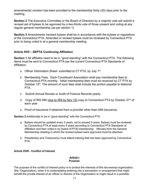amendments/ revision has been provided to the membership thirty (30) days prior to the meeting.

**Section 2** The Executive Committee or the Board of Directors by a majority vote will submit a revised set of bylaws to be approved by a two-thirds vote of those present and voting at any regular general membership (as per section 1).

**Section 3** Amendments /revised bylaws shall be in accordance with the bylaws or regulations of the Connecticut PTA. Amended or revised bylaws must be reviewed by Connecticut PTA prior to being voted in at a general membership meeting.

## **Article XVII – SEPTA Continuing Affiliation**

**Section 1** All affiliates need to be in "good standing" with the Connecticut PTA. The following Items must be sent to Connecticut PTA per the current Connecticut PTA Standards of Affiliation.

- a. Officer Information Sheet- submitted to CT PTA, by July 1<sup>st</sup>.
- b. Membership Fees. Each Constituent Association shall pay membership fees to Connecticut PTA monthly. Initial membership fees must be received by CT PTA by October 15<sup>th</sup>. The amount of such fees shall include the portion payable to National PTA.
- c. Submit Annual Review or Audit of Finance Records yearly.
- d. Copy of IRS 990 (due to IRS by Nov 15) copy to Connecticut PTA by October 31<sup>st</sup> of each year.
- e. Proof of Insurance if obtained from a provider other than AIM Insurance.

**Section 2** Additionally to be in "good standing" with the Connecticut PTA

- a. Bylaws should be updated every 3 years, not to exceed 5 years. Bylaws must be reviewed by Connecticut PTA at least every 5 years according to Connecticut PTA Standards of Affiliation and then voted in by [name of PTA] membership. Minutes from the General Membership meeting in which the revised bylaws were approved must be attached.
- b. President(s) and Treasurer(s) must attend training that has been approved by Connecticut PTA.

### **Article XVIII - Conflict of Interest**

#### **Article I Purpose**

The purpose of the conflict of interest policy is to protect the interests of this tax-exempt organization, (the "Organization), when it is contemplating entering into a transaction or arrangement that might benefit the private interest of an officer or director of the Organization or might result in a possible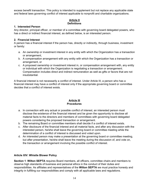excess benefit transaction. This policy is intended to supplement but not replace any applicable state and federal laws governing conflict of interest applicable to nonprofit and charitable organizations.

## **Article II Definitions**

#### **1. Interested Person**

Any director, principal officer, or member of a committee with governing board delegated powers, who has a direct or indirect financial interest, as defined below, is an interested person.

#### **2. Financial Interest**

A person has a financial interest if the person has, directly or indirectly, through business, investment or family:

- a. An ownership or investment interest in any entity with which the Organization has a transaction or arrangement,
- b. A compensation arrangement with any entity with which the Organization has a transaction or arrangement, or
- c. A proposed ownership or investment interest in, or compensation arrangement with, any entity or individual with which the Organization is negotiating a transaction or arrangement. Compensation includes direct and indirect remuneration as well as gifts or favors that are not insubstantial.

A financial interest is not necessarily a conflict of interest. Under Article III, a person who has a financial interest may have a conflict of interest only if the appropriate governing board or committee decides that a conflict of interest exists.

#### **Article III Procedures**

- a. In connection with any actual or possible conflict of interest, an interested person must disclose the existence of the financial interest and be given the opportunity to disclose all material facts to the directors and members of committees with governing board delegated powers considering the proposed transaction or arrangement.
- b. The remaining Board or committee members shall decide if a conflict of interest exists.
- c. After disclosure of the financial interest and all material facts, and after any discussion with the interested person, he/she shall leave the governing board or committee meeting while the determination of a conflict of interest is discussed and voted upon.
- d. An interested person may make a presentation at the governing board or committee meeting, but after presentation, he/she shall leave the meeting during the discussion of, and vote on, the transaction or arrangement involving the possible conflict of interest.

#### **Article XIV: Whistle Blower Policy**

**Section 1**. **Wilton SEPTA** requires Board members, all officers, committee chairs and members to observe high standards of business and personal ethics in the conduct of their duties and responsibilities. As affiliates and representatives of the **Wilton SEPTA** we must practice honesty and integrity in fulfilling our responsibilities and comply with all applicable laws and regulations.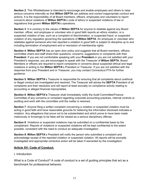**Section 2**. This Whistleblower is intended to encourage and enable employees and others to raise serious concerns internally so that **Wilton SEPTA** can address and correct inappropriate conduct and actions. It is the responsibility of all Board members, officers, employees and volunteers to report concerns about violations of **Wilton SEPTA**'s code of ethics or suspected violations of law or regulations that govern **Wilton SEPTA**'s operations.

**Section 3**. It is contrary to the values of **Wilton SEPTA** for anyone to retaliate against any Board member, officer, and employee or volunteer who in good faith reports an ethics violation, or a suspected violation of law, such as a complaint of discrimination, or suspected fraud, or suspected violation of any regulation governing the operations of **Wilton SEPTA**. An employee or volunteer who retaliates against someone who has reported a violation in good faith is subject to discipline up to and including termination of employment and or rescission of membership rights.

**Section 4**. **Wilton SEPTA** has an open door policy and suggests that all Board members, officers, committee chairs and staff share their questions, concerns, suggestions or complaints with their **President**. If you are not comfortable speaking with your **President** or you are not satisfied with your President's response, you are encouraged to speak with the Treasurer of **Wilton SEPTA**. Board Members or officers are required to report complaints or concerns about suspected ethical and legal violations in writing to the **Wilton SEPTA**'s President or Treasurer. If you are not satisfied with the response from your President and or Treasurer, you may contact Connecticut PTA for further guidance.

**Section 5**. **Wilton SEPTA**'s Treasurer is responsible for ensuring that all complaints about unethical or illegal conduct are investigated and resolved. The Treasurer will advise the **SEPTA** President of all complaints and their resolution and will report at least annually on compliance activity relating to accounting or alleged financial improprieties.

**Section 6**. **Wilton SEPTA's** Treasurer shall immediately notify the Audit Committee/Finance Committee of any concerns or complaint regarding corporate accounting practices, internal controls or auditing and work with the committee until the matter is resolved.

**Section 7**. Anyone filing a written complaint concerning a violation or suspected violation must be acting in good faith and have reasonable grounds for believing the information disclosed indicates a violation. Any allegations that prove not to be substantiated and which prove to have been made maliciously or knowingly to be false will be viewed as a serious disciplinary offense.

**Section 8**. Violations or suspected violations may be submitted on a confidential basis by the complainant. Reports of violations or suspected violations will be kept confidential to the extent possible, consistent with the need to conduct an adequate investigation.

**Section 9. Wilton SEPTA**'s President will notify the person who submitted a complaint and acknowledge receipt of the reported violation or suspected violation. All reports will be promptly investigated and appropriate corrective action will be taken if warranted by the investigation.

### **Article XV: Code of Conduct:**

#### I. Introduction

What is a Code of Conduct? A code of conduct is a set of guiding principles that act as a benchmark for professional behavior.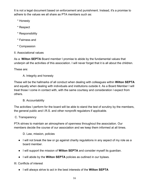It is not a legal document based on enforcement and punishment. Instead, it's a promise to adhere to the values we all share as PTA members such as:

- \* Honesty
- \* Respect
- \* Responsibility
- \* Fairness and
- \* Compassion
- II. Associational values

As a **Wilton SEPTA** Board member I promise to abide by the fundamental values that underpin all the activities of this association. I will never forget that it is all about the children.

These are:

A. Integrity and honesty

These will be the hallmarks of all conduct when dealing with colleagues within **Wilton SEPTA** and equally when dealing with individuals and institutions outside it. As a Board Member I will treat those I come in contact with, with the same courtesy and consideration I expect from others.

## B. Accountability

The activities I perform for the board will be able to stand the test of scrutiny by the members, the general public and I.R.S. and other nonprofit regulators if applicable.

### C. Transparency

PTA strives to maintain an atmosphere of openness throughout the association. Our members decide the course of our association and we keep them informed at all times.

D. Law, mission, policies

- I will not break the law or go against charity regulations in any aspect of my role as a board member.
- I will support the mission of **Wilton SEPTA** and consider myself its guardian.
- I will abide by the **Wilton SEPTA** policies as outlined in our bylaws.

III. Conflicts of interest

● I will always strive to act in the best interests of the **Wilton SEPTA**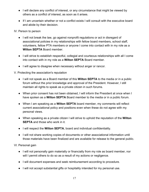- I will declare any conflict of interest, or any circumstance that might be viewed by others as a conflict of interest, as soon as it arises.
- If I am uncertain whether or not a conflict exists I will consult with the executive board and abide by their decision.

IV. Person to person

- I will not break the law, go against nonprofit regulations or act in disregard of associational policies in my relationships with fellow board members, school staff, volunteers, fellow PTA members or anyone I come into contact with in my role as a **Wilton SEPTA** Board member.
- I will strive to establish respectful, collegial and courteous relationships with all I come into contact with in my role as a **Wilton SEPTA** Board member.
- I will agree to disagree when necessary without anger or rancor.

# V. Protecting the association's reputation

- I will not speak as a Board member of this **Wilton SEPTA** to the media or in a public forum without the prior knowledge and approval of the President. However, I still maintain all rights to speak as a private citizen in such forums.
- When prior consent has not been obtained, I will inform the President at once when I have spoken as a **Wilton SEPTA** Board member to the media or in a public forum.
- When I am speaking as a **Wilton SEPTA** board member, my comments will reflect current associational policy and positions even when these do not agree with my personal views.
- When speaking as a private citizen I will strive to uphold the reputation of the **Wilton SEPTA** and those who work in it.
- I will respect the **Wilton SEPTA**, board and individual confidentiality.
- I will not share working copies of documents or other associational information until those materials have been finalized and are available for release to the general public.

VI. Personal gain

- I will not personally gain materially or financially from my role as board member, nor will I permit others to do so as a result of my actions or negligence.
- I will document expenses and seek reimbursement according to procedure.
- I will not accept substantial gifts or hospitality intended for my personal use.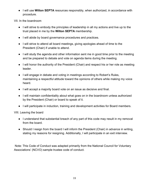● I will use **Wilton SEPTA** resources responsibly, when authorized, in accordance with procedure.

VII. In the boardroom

- I will strive to embody the principles of leadership in all my actions and live up to the trust placed in me by the **Wilton SEPTA** membership.
- I will abide by board governance procedures and practices.
- I will strive to attend all board meetings, giving apologies ahead of time to the President (Chair) if unable to attend.
- I will study the agenda and other information sent me in good time prior to the meeting and be prepared to debate and vote on agenda items during the meeting.
- I will honor the authority of the President (Chair) and respect his or her role as meeting leader.
- I will engage in debate and voting in meetings according to Robert's Rules, maintaining a respectful attitude toward the opinions of others while making my voice heard.
- I will accept a majority board vote on an issue as decisive and final.
- I will maintain confidentiality about what goes on in the boardroom unless authorized by the President (Chair) or board to speak of it.
- I will participate in induction, training and development activities for Board members.

VIII. Leaving the board

- I understand that substantial breach of any part of this code may result in my removal from the board.
- Should I resign from the board I will inform the President (Chair) in advance in writing, stating my reasons for resigning. Additionally, I will participate in an exit interview.

 Note: This Code of Conduct was adapted primarily from the National Council for Voluntary Associations' (NCVO) sample trustee code of conduct.